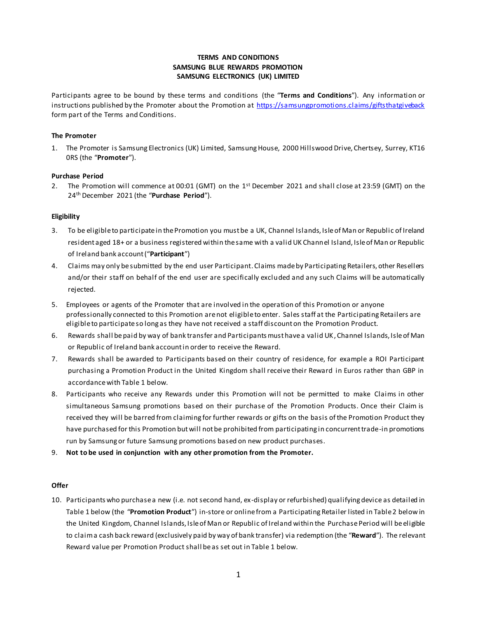# **TERMS AND CONDITIONS SAMSUNG BLUE REWARDS PROMOTION SAMSUNG ELECTRONICS (UK) LIMITED**

Participants agree to be bound by these terms and conditions (the "**Terms and Conditions**"). Any information or instructions published by the Promoter about the Promotion at<https://samsungpromotions.claims/giftsthatgiveback> form part of the Terms and Conditions.

### **The Promoter**

1. The Promoter is Samsung Electronics (UK) Limited, Samsung House, 2000 Hillswood Drive, Chertsey, Surrey, KT16 0RS (the "**Promoter**").

#### **Purchase Period**

2. The Promotion will commence at 00:01 (GMT) on the 1<sup>st</sup> December 2021 and shall close at 23:59 (GMT) on the 24th December 2021 (the "**Purchase Period**").

#### **Eligibility**

- 3. To be eligible to participate in the Promotion you must be a UK, Channel Islands, Isle of Man or Republic of Ireland resident aged 18+ or a business registered within the same with a valid UK Channel Island, Isle of Man or Republic of Ireland bank account ("**Participant**")
- 4. Claims may only be submitted by the end user Participant. Claims made by Participating Retailers, other Resellers and/or their staff on behalf of the end user are specifically excluded and any such Claims will be automatically rejected.
- 5. Employees or agents of the Promoter that are involved in the operation of this Promotion or anyone professionally connected to this Promotion are not eligible to enter. Sales staff at the Participating Retailers are eligible to participate so long as they have not received a staff discount on the Promotion Product.
- 6. Rewards shall be paid by way of bank transfer and Participants must have a valid UK, Channel Islands, Isle of Man or Republic of Ireland bank account in order to receive the Reward.
- 7. Rewards shall be awarded to Participants based on their country of residence, for example a ROI Participant purchasing a Promotion Product in the United Kingdom shall receive their Reward in Euros rather than GBP in accordance with Table 1 below.
- 8. Participants who receive any Rewards under this Promotion will not be permitted to make Claims in other simultaneous Samsung promotions based on their purchase of the Promotion Products. Once their Claim is received they will be barred from claiming for further rewards or gifts on the basis of the Promotion Product they have purchased for this Promotion but will not be prohibited from participating in concurrent trade-in promotions run by Samsung or future Samsung promotions based on new product purchases.
- 9. **Not to be used in conjunction with any other promotion from the Promoter.**

# **Offer**

10. Participants who purchase a new (i.e. not second hand, ex-display or refurbished) qualifying device as detailed in Table 1 below (the "**Promotion Product**") in-store or online from a Participating Retailer listed in Table 2 below in the United Kingdom, Channel Islands, Isle of Man or Republic of Ireland within the Purchase Period will be eligible to claim a cash back reward (exclusively paid by way of bank transfer) via redemption (the "**Reward**"). The relevant Reward value per Promotion Product shall be as set out in Table 1 below.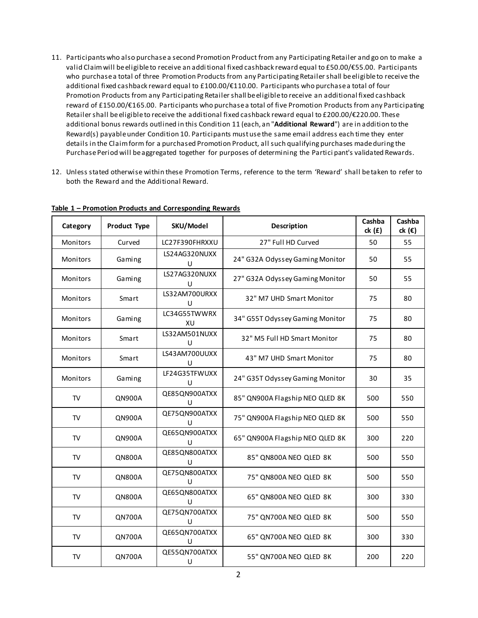- 11. Participants who also purchase a second Promotion Product from any Participating Retailer and go on to make a valid Claim will be eligible to receive an additional fixed cashback reward equal to £50.00/€55.00. Participants who purchase a total of three Promotion Products from any Participating Retailer shall be eligible to receive the additional fixed cashback reward equal to £100.00/€110.00. Participants who purchase a total of four Promotion Products from any Participating Retailer shall be eligible to receive an additional fixed cashback reward of £150.00/€165.00. Participants who purchase a total of five Promotion Products from any Participating Retailer shall be eligible to receive the additional fixed cashback reward equal to £200.00/€220.00. These additional bonus rewards outlined in this Condition 11 (each, an "**Additional Reward**") are in addition to the Reward(s) payable under Condition 10. Participants must use the same email address each time they enter details in the Claim form for a purchased Promotion Product, all such qualifying purchases made during the Purchase Period will be aggregated together for purposes of determining the Partici pant's validated Rewards.
- 12. Unless stated otherwise within these Promotion Terms, reference to the term 'Reward' shall be taken to refer to both the Reward and the Additional Reward.

| Category  | <b>Product Type</b> | SKU/Model               | <b>Description</b>              | Cashba<br>ck(f) | Cashba<br>ck $(\epsilon)$ |
|-----------|---------------------|-------------------------|---------------------------------|-----------------|---------------------------|
| Monitors  | Curved              | LC27F390FHRXXU          | 27" Full HD Curved              | 50              | 55                        |
| Monitors  | Gaming              | LS24AG320NUXX<br>$\cup$ | 24" G32A Odyssey Gaming Monitor | 50              | 55                        |
| Monitors  | Gaming              | LS27AG320NUXX<br>U      | 27" G32A Odyssey Gaming Monitor | 50              | 55                        |
| Monitors  | Smart               | LS32AM700URXX<br>U      | 32" M7 UHD Smart Monitor        | 75              | 80                        |
| Monitors  | Gaming              | LC34G55TWWRX<br>XU      | 34" G55T Odyssey Gaming Monitor | 75              | 80                        |
| Monitors  | Smart               | LS32AM501NUXX<br>U      | 32" M5 Full HD Smart Monitor    | 75              | 80                        |
| Monitors  | Smart               | LS43AM700UUXX<br>U      | 43" M7 UHD Smart Monitor        | 75              | 80                        |
| Monitors  | Gaming              | LF24G35TFWUXX<br>U      | 24" G35T Odyssey Gaming Monitor | 30              | 35                        |
| TV        | <b>QN900A</b>       | QE85QN900ATXX<br>U      | 85" QN900A Flagship NEO QLED 8K | 500             | 550                       |
| TV        | <b>QN900A</b>       | QE75QN900ATXX<br>U      | 75" QN900A Flagship NEO QLED 8K | 500             | 550                       |
| <b>TV</b> | <b>QN900A</b>       | QE65QN900ATXX<br>U      | 65" QN900A Flagship NEO QLED 8K | 300             | 220                       |
| TV        | <b>QN800A</b>       | QE85QN800ATXX<br>U      | 85" QN800A NEO QLED 8K          | 500             | 550                       |
| TV        | <b>QN800A</b>       | QE75QN800ATXX<br>U      | 75" QN800A NEO QLED 8K          | 500             | 550                       |
| TV        | <b>QN800A</b>       | QE65QN800ATXX<br>U      | 65" QN800A NEO QLED 8K          | 300             | 330                       |
| <b>TV</b> | <b>QN700A</b>       | QE75QN700ATXX<br>U      | 75" QN700A NEO QLED 8K          | 500             | 550                       |
| <b>TV</b> | <b>QN700A</b>       | QE65QN700ATXX<br>$\cup$ | 65" QN700A NEO QLED 8K          | 300             | 330                       |
| <b>TV</b> | <b>QN700A</b>       | QE55QN700ATXX<br>U      | 55" QN700A NEO QLED 8K          | 200             | 220                       |

**Table 1 – Promotion Products and Corresponding Rewards**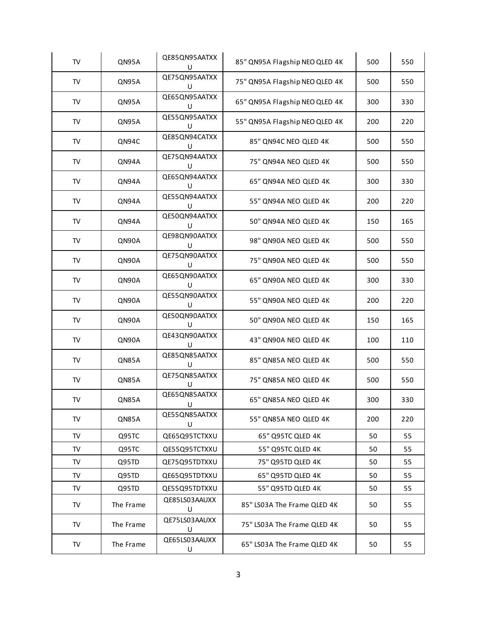| ${\sf TV}$ | QN95A     | QE85QN95AATXX<br>U | 85" QN95A Flagship NEO QLED 4K | 500 | 550 |
|------------|-----------|--------------------|--------------------------------|-----|-----|
| ${\sf TV}$ | QN95A     | QE75QN95AATXX<br>U | 75" QN95A Flagship NEO QLED 4K | 500 | 550 |
| TV         | QN95A     | QE65QN95AATXX<br>U | 65" QN95A Flagship NEO QLED 4K | 300 | 330 |
| TV         | QN95A     | QE55QN95AATXX<br>U | 55" QN95A Flagship NEO QLED 4K | 200 | 220 |
| ${\sf TV}$ | QN94C     | QE85QN94CATXX<br>U | 85" QN94C NEO QLED 4K          | 500 | 550 |
| TV         | QN94A     | QE75QN94AATXX<br>U | 75" QN94A NEO QLED 4K          | 500 | 550 |
| TV         | QN94A     | QE65QN94AATXX<br>U | 65" QN94A NEO QLED 4K          | 300 | 330 |
| TV         | QN94A     | QE55QN94AATXX<br>U | 55" QN94A NEO QLED 4K          | 200 | 220 |
| TV         | QN94A     | QE50QN94AATXX<br>U | 50" QN94A NEO QLED 4K          | 150 | 165 |
| TV         | QN90A     | QE98QN90AATXX<br>U | 98" QN90A NEO QLED 4K          | 500 | 550 |
| TV         | QN90A     | QE75QN90AATXX<br>U | 75" QN90A NEO QLED 4K          | 500 | 550 |
| TV         | QN90A     | QE65QN90AATXX<br>U | 65" QN90A NEO QLED 4K          | 300 | 330 |
| TV         | QN90A     | QE55QN90AATXX<br>U | 55" QN90A NEO QLED 4K          | 200 | 220 |
| TV         | QN90A     | QE50QN90AATXX<br>U | 50" QN90A NEO QLED 4K          | 150 | 165 |
| TV         | QN90A     | QE43QN90AATXX<br>U | 43" QN90A NEO QLED 4K          | 100 | 110 |
| TV         | QN85A     | QE85QN85AATXX<br>U | 85" QN85A NEO QLED 4K          | 500 | 550 |
| TV         | QN85A     | QE75QN85AATXX<br>U | 75" QN85A NEO QLED 4K          | 500 | 550 |
| ${\sf TV}$ | QN85A     | QE65QN85AATXX<br>U | 65" QN85A NEO QLED 4K          | 300 | 330 |
| <b>TV</b>  | QN85A     | QE55QN85AATXX<br>U | 55" QN85A NEO QLED 4K          | 200 | 220 |
| <b>TV</b>  | Q95TC     | QE65Q95TCTXXU      | 65" Q95TC QLED 4K              | 50  | 55  |
| <b>TV</b>  | Q95TC     | QE55Q95TCTXXU      | 55" Q95TC QLED 4K              | 50  | 55  |
| TV         | Q95TD     | QE75Q95TDTXXU      | 75" Q95TD QLED 4K              | 50  | 55  |
| TV         | Q95TD     | QE65Q95TDTXXU      | 65" Q95TD QLED 4K              | 50  | 55  |
| <b>TV</b>  | Q95TD     | QE55Q95TDTXXU      | 55" Q95TD QLED 4K              | 50  | 55  |
| TV         | The Frame | QE85LS03AAUXX<br>U | 85" LS03A The Frame QLED 4K    | 50  | 55  |
| <b>TV</b>  | The Frame | QE75LS03AAUXX<br>U | 75" LS03A The Frame QLED 4K    | 50  | 55  |
| TV         | The Frame | QE65LS03AAUXX<br>U | 65" LS03A The Frame QLED 4K    | 50  | 55  |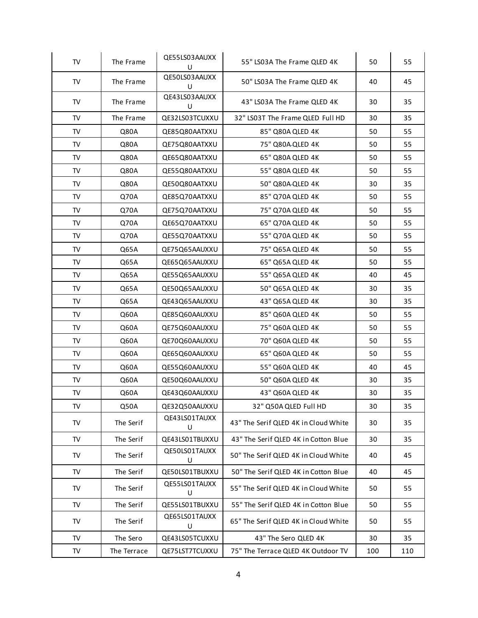| TV        | The Frame   | QE55LS03AAUXX<br>U | 55" LS03A The Frame QLED 4K          | 50  | 55  |
|-----------|-------------|--------------------|--------------------------------------|-----|-----|
| TV        | The Frame   | QE50LS03AAUXX<br>U | 50" LS03A The Frame QLED 4K          | 40  | 45  |
| TV        | The Frame   | QE43LS03AAUXX<br>U | 43" LS03A The Frame QLED 4K          | 30  | 35  |
| TV        | The Frame   | QE32LS03TCUXXU     | 32" LS03T The Frame QLED Full HD     | 30  | 35  |
| <b>TV</b> | Q80A        | QE85Q80AATXXU      | 85" Q80A QLED 4K                     | 50  | 55  |
| TV        | Q80A        | QE75Q80AATXXU      | 75" Q80A-QLED 4K                     | 50  | 55  |
| TV        | Q80A        | QE65Q80AATXXU      | 65" Q80A QLED 4K                     | 50  | 55  |
| <b>TV</b> | Q80A        | QE55Q80AATXXU      | 55" Q80A QLED 4K                     | 50  | 55  |
| TV        | Q80A        | QE50Q80AATXXU      | 50" Q80A-QLED 4K                     | 30  | 35  |
| <b>TV</b> | Q70A        | QE85Q70AATXXU      | 85" Q70A QLED 4K                     | 50  | 55  |
| TV        | Q70A        | QE75Q70AATXXU      | 75" Q70A QLED 4K                     | 50  | 55  |
| TV        | Q70A        | QE65Q70AATXXU      | 65" Q70A QLED 4K                     | 50  | 55  |
| TV        | Q70A        | QE55Q70AATXXU      | 55" Q70A QLED 4K                     | 50  | 55  |
| <b>TV</b> | Q65A        | QE75Q65AAUXXU      | 75" Q65A QLED 4K                     | 50  | 55  |
| <b>TV</b> | Q65A        | QE65Q65AAUXXU      | 65" Q65A QLED 4K                     | 50  | 55  |
| TV        | Q65A        | QE55Q65AAUXXU      | 55" Q65A QLED 4K                     | 40  | 45  |
| TV        | Q65A        | QE50Q65AAUXXU      | 50" Q65A QLED 4K                     | 30  | 35  |
| TV        | Q65A        | QE43Q65AAUXXU      | 43" Q65A QLED 4K                     | 30  | 35  |
| TV        | Q60A        | QE85Q60AAUXXU      | 85" Q60A QLED 4K                     | 50  | 55  |
| TV        | Q60A        | QE75Q60AAUXXU      | 75" Q60A QLED 4K                     | 50  | 55  |
| TV        | Q60A        | QE70Q60AAUXXU      | 70" Q60A QLED 4K                     | 50  | 55  |
| TV        | Q60A        | QE65Q60AAUXXU      | 65" Q60A QLED 4K                     | 50  | 55  |
| TV        | Q60A        | QE55Q60AAUXXU      | 55" Q60A QLED 4K                     | 40  | 45  |
| TV        | Q60A        | QE50Q60AAUXXU      | 50" Q60A QLED 4K                     | 30  | 35  |
| TV        | Q60A        | QE43Q60AAUXXU      | 43" Q60A QLED 4K                     | 30  | 35  |
| TV        | Q50A        | QE32Q50AAUXXU      | 32" Q50A QLED Full HD                | 30  | 35  |
| <b>TV</b> | The Serif   | QE43LS01TAUXX<br>U | 43" The Serif QLED 4K in Cloud White | 30  | 35  |
| TV        | The Serif   | QE43LS01TBUXXU     | 43" The Serif QLED 4K in Cotton Blue | 30  | 35  |
| <b>TV</b> | The Serif   | QE50LS01TAUXX<br>U | 50" The Serif QLED 4K in Cloud White | 40  | 45  |
| TV        | The Serif   | QE50LS01TBUXXU     | 50" The Serif QLED 4K in Cotton Blue | 40  | 45  |
| TV        | The Serif   | QE55LS01TAUXX<br>U | 55" The Serif QLED 4K in Cloud White | 50  | 55  |
| TV        | The Serif   | QE55LS01TBUXXU     | 55" The Serif QLED 4K in Cotton Blue | 50  | 55  |
| TV        | The Serif   | QE65LS01TAUXX<br>U | 65" The Serif QLED 4K in Cloud White | 50  | 55  |
| <b>TV</b> | The Sero    | QE43LS05TCUXXU     | 43" The Sero QLED 4K                 | 30  | 35  |
| TV        | The Terrace | QE75LST7TCUXXU     | 75" The Terrace QLED 4K Outdoor TV   | 100 | 110 |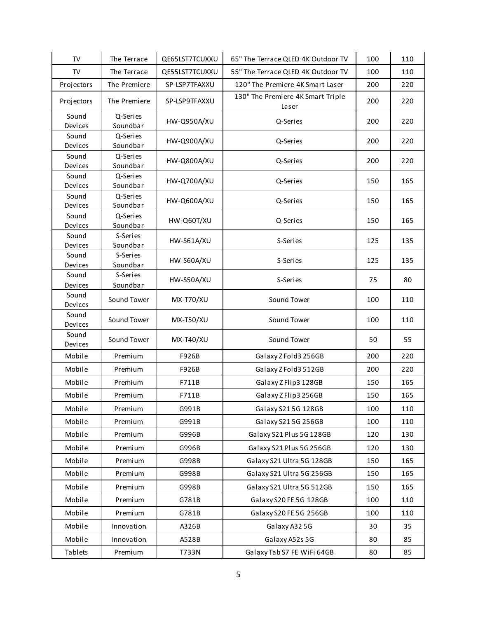| <b>TV</b>        | The Terrace          | QE65LST7TCUXXU    | 65" The Terrace QLED 4K Outdoor TV         | 100 | 110 |
|------------------|----------------------|-------------------|--------------------------------------------|-----|-----|
| TV               | The Terrace          | QE55LST7TCUXXU    | 55" The Terrace QLED 4K Outdoor TV         | 100 | 110 |
| Projectors       | The Premiere         | SP-LSP7TFAXXU     | 120" The Premiere 4K Smart Laser           | 200 | 220 |
| Projectors       | The Premiere         | SP-LSP9TFAXXU     | 130" The Premiere 4K Smart Triple<br>Laser | 200 | 220 |
| Sound<br>Devices | Q-Series<br>Soundbar | HW-Q950A/XU       | Q-Series                                   | 200 | 220 |
| Sound<br>Devices | Q-Series<br>Soundbar | HW-Q900A/XU       | Q-Series                                   | 200 | 220 |
| Sound<br>Devices | Q-Series<br>Soundbar | HW-Q800A/XU       | Q-Series                                   | 200 | 220 |
| Sound<br>Devices | Q-Series<br>Soundbar | HW-Q700A/XU       | Q-Series                                   | 150 | 165 |
| Sound<br>Devices | Q-Series<br>Soundbar | HW-Q600A/XU       | Q-Series                                   | 150 | 165 |
| Sound<br>Devices | Q-Series<br>Soundbar | HW-Q60T/XU        | Q-Series                                   | 150 | 165 |
| Sound<br>Devices | S-Series<br>Soundbar | <b>HW-S61A/XU</b> | S-Series                                   | 125 | 135 |
| Sound<br>Devices | S-Series<br>Soundbar | HW-S60A/XU        | S-Series                                   | 125 | 135 |
| Sound<br>Devices | S-Series<br>Soundbar | HW-S50A/XU        | S-Series                                   | 75  | 80  |
| Sound<br>Devices | Sound Tower          | <b>MX-T70/XU</b>  | Sound Tower                                | 100 | 110 |
| Sound<br>Devices | Sound Tower          | <b>MX-T50/XU</b>  | Sound Tower                                | 100 | 110 |
| Sound<br>Devices | Sound Tower          | <b>MX-T40/XU</b>  | Sound Tower                                | 50  | 55  |
| Mobile           | Premium              | F926B             | Galaxy Z Fold3 256GB                       | 200 | 220 |
| Mobile           | Premium              | F926B             | Galaxy Z Fold3 512GB                       | 200 | 220 |
| Mobile           | Premium              | F711B             | Galaxy Z Flip3 128GB                       | 150 | 165 |
| Mobile           | Premium              | F711B             | Galaxy Z Flip3 256GB                       | 150 | 165 |
| Mobile           | Premium              | G991B             | Galaxy S215G 128GB                         | 100 | 110 |
| Mobile           | Premium              | G991B             | Galaxy S215G 256GB                         | 100 | 110 |
| Mobile           | Premium              | G996B             | Galaxy S21 Plus 5G 128GB                   | 120 | 130 |
| Mobile           | Premium              | G996B             | Galaxy S21 Plus 5G 256GB                   | 120 | 130 |
| Mobile           | Premium              | G998B             | Galaxy S21 Ultra 5G 128GB                  | 150 | 165 |
| Mobile           | Premium              | G998B             | Galaxy S21 Ultra 5G 256GB                  | 150 | 165 |
| Mobile           | Premium              | G998B             | Galaxy S21 Ultra 5G 512GB                  | 150 | 165 |
| Mobile           | Premium              | G781B             | Galaxy S20 FE 5G 128GB                     | 100 | 110 |
| Mobile           | Premium              | G781B             | Galaxy S20 FE 5G 256GB                     | 100 | 110 |
| Mobile           | Innovation           | A326B             | Galaxy A32 5G                              | 30  | 35  |
| Mobile           | Innovation           | A528B             | Galaxy A52s 5G                             | 80  | 85  |
| Tablets          | Premium              | T733N             | Galaxy Tab S7 FE WiFi 64GB                 | 80  | 85  |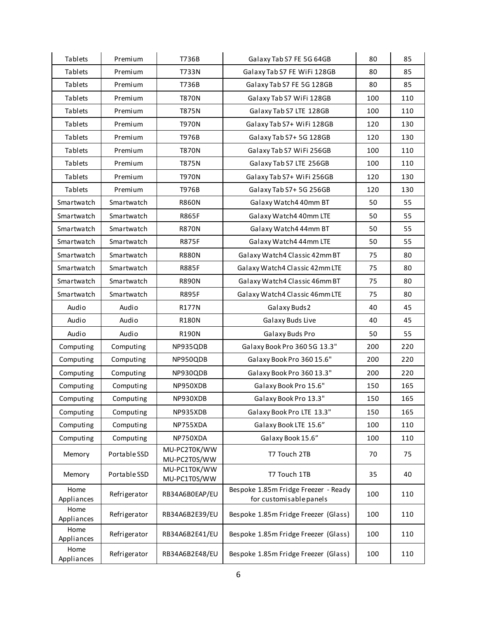| Tablets            | Premium      | T736B                        | Galaxy Tab S7 FE 5G 64GB                                        | 80  | 85  |
|--------------------|--------------|------------------------------|-----------------------------------------------------------------|-----|-----|
| Tablets            | Premium      | T733N                        | Galaxy Tab S7 FE WiFi 128GB                                     | 80  | 85  |
| Tablets            | Premium      | T736B                        | Galaxy Tab S7 FE 5G 128GB                                       | 80  | 85  |
| Tablets            | Premium      | <b>T870N</b>                 | Galaxy Tab S7 WiFi 128GB                                        | 100 | 110 |
| Tablets            | Premium      | <b>T875N</b>                 | Galaxy Tab S7 LTE 128GB                                         | 100 | 110 |
| Tablets            | Premium      | <b>T970N</b>                 | Galaxy Tab S7+ WiFi 128GB                                       | 120 | 130 |
| Tablets            | Premium      | T976B                        | Galaxy Tab S7+ 5G 128GB                                         | 120 | 130 |
| Tablets            | Premium      | <b>T870N</b>                 | Galaxy Tab S7 WiFi 256GB                                        | 100 | 110 |
| Tablets            | Premium      | <b>T875N</b>                 | Galaxy Tab S7 LTE 256GB                                         | 100 | 110 |
| Tablets            | Premium      | <b>T970N</b>                 | Galaxy Tab S7+ WiFi 256GB                                       | 120 | 130 |
| Tablets            | Premium      | T976B                        | Galaxy Tab S7+ 5G 256GB                                         | 120 | 130 |
| Smartwatch         | Smartwatch   | <b>R860N</b>                 | Galaxy Watch4 40mm BT                                           | 50  | 55  |
| Smartwatch         | Smartwatch   | <b>R865F</b>                 | Galaxy Watch4 40mm LTE                                          | 50  | 55  |
| Smartwatch         | Smartwatch   | <b>R870N</b>                 | Galaxy Watch4 44mm BT                                           | 50  | 55  |
| Smartwatch         | Smartwatch   | <b>R875F</b>                 | Galaxy Watch4 44mm LTE                                          | 50  | 55  |
| Smartwatch         | Smartwatch   | <b>R880N</b>                 | Galaxy Watch4 Classic 42mm BT                                   | 75  | 80  |
| Smartwatch         | Smartwatch   | <b>R885F</b>                 | Galaxy Watch4 Classic 42mm LTE                                  | 75  | 80  |
| Smartwatch         | Smartwatch   | <b>R890N</b>                 | Galaxy Watch4 Classic 46mm BT                                   | 75  | 80  |
| Smartwatch         | Smartwatch   | <b>R895F</b>                 | Galaxy Watch4 Classic 46mm LTE                                  | 75  | 80  |
| Audio              | Audio        | R177N                        | Galaxy Buds2                                                    | 40  | 45  |
| Audio              | Audio        | <b>R180N</b>                 | Galaxy Buds Live                                                | 40  | 45  |
| Audio              | Audio        | R190N                        | Galaxy Buds Pro                                                 | 50  | 55  |
| Computing          | Computing    | NP935QDB                     | Galaxy Book Pro 360 5G 13.3"                                    | 200 | 220 |
| Computing          | Computing    | NP950QDB                     | Galaxy Book Pro 360 15.6"                                       | 200 | 220 |
| Computing          | Computing    | NP930QDB                     | Galaxy Book Pro 360 13.3"                                       | 200 | 220 |
| Computing          | Computing    | NP950XDB                     | Galaxy Book Pro 15.6"                                           | 150 | 165 |
| Computing          | Computing    | NP930XDB                     | Galaxy Book Pro 13.3"                                           | 150 | 165 |
| Computing          | Computing    | NP935XDB                     | Galaxy Book Pro LTE 13.3"                                       | 150 | 165 |
| Computing          | Computing    | NP755XDA                     | Galaxy Book LTE 15.6"                                           | 100 | 110 |
| Computing          | Computing    | NP750XDA                     | Galaxy Book 15.6"                                               | 100 | 110 |
| Memory             | Portable SSD | MU-PC2T0K/WW<br>MU-PC2T0S/WW | T7 Touch 2TB                                                    | 70  | 75  |
| Memory             | Portable SSD | MU-PC1T0K/WW<br>MU-PC1T0S/WW | T7 Touch 1TB                                                    | 35  | 40  |
| Home<br>Appliances | Refrigerator | RB34A6B0EAP/EU               | Bespoke 1.85m Fridge Freezer - Ready<br>for customisable panels | 100 | 110 |
| Home<br>Appliances | Refrigerator | RB34A6B2E39/EU               | Bespoke 1.85m Fridge Freezer (Glass)                            | 100 | 110 |
| Home<br>Appliances | Refrigerator | RB34A6B2E41/EU               | Bespoke 1.85m Fridge Freezer (Glass)                            | 100 | 110 |
| Home<br>Appliances | Refrigerator | RB34A6B2E48/EU               | Bespoke 1.85m Fridge Freezer (Glass)                            | 100 | 110 |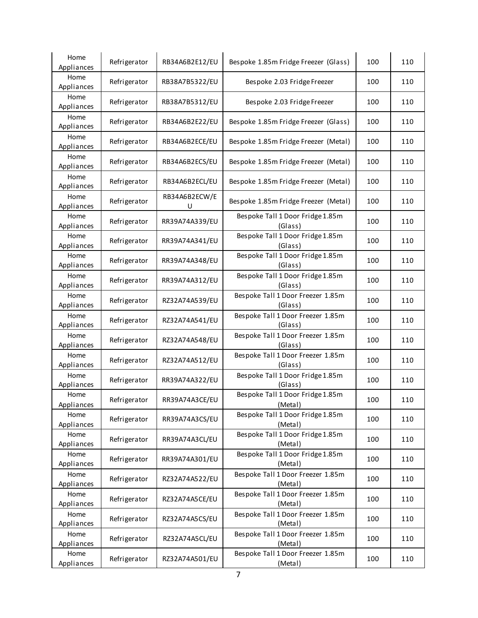| Home<br>Appliances | Refrigerator | RB34A6B2E12/EU     | Bespoke 1.85m Fridge Freezer (Glass)         | 100 | 110 |
|--------------------|--------------|--------------------|----------------------------------------------|-----|-----|
| Home<br>Appliances | Refrigerator | RB38A7B5322/EU     | Bespoke 2.03 Fridge Freezer                  | 100 | 110 |
| Home<br>Appliances | Refrigerator | RB38A7B5312/EU     | Bespoke 2.03 Fridge Freezer                  | 100 | 110 |
| Home<br>Appliances | Refrigerator | RB34A6B2E22/EU     | Bespoke 1.85m Fridge Freezer (Glass)         | 100 | 110 |
| Home<br>Appliances | Refrigerator | RB34A6B2ECE/EU     | Bespoke 1.85m Fridge Freezer (Metal)         | 100 | 110 |
| Home<br>Appliances | Refrigerator | RB34A6B2ECS/EU     | Bespoke 1.85m Fridge Freezer (Metal)         | 100 | 110 |
| Home<br>Appliances | Refrigerator | RB34A6B2ECL/EU     | Bespoke 1.85m Fridge Freezer (Metal)         | 100 | 110 |
| Home<br>Appliances | Refrigerator | RB34A6B2ECW/E<br>U | Bespoke 1.85m Fridge Freezer (Metal)         | 100 | 110 |
| Home<br>Appliances | Refrigerator | RR39A74A339/EU     | Bespoke Tall 1 Door Fridge 1.85m<br>(Glass)  | 100 | 110 |
| Home<br>Appliances | Refrigerator | RR39A74A341/EU     | Bespoke Tall 1 Door Fridge 1.85m<br>(Glass)  | 100 | 110 |
| Home<br>Appliances | Refrigerator | RR39A74A348/EU     | Bespoke Tall 1 Door Fridge 1.85m<br>(Glass)  | 100 | 110 |
| Home<br>Appliances | Refrigerator | RR39A74A312/EU     | Bespoke Tall 1 Door Fridge 1.85m<br>(Glass)  | 100 | 110 |
| Home<br>Appliances | Refrigerator | RZ32A74A539/EU     | Bespoke Tall 1 Door Freezer 1.85m<br>(Glass) | 100 | 110 |
| Home<br>Appliances | Refrigerator | RZ32A74A541/EU     | Bespoke Tall 1 Door Freezer 1.85m<br>(Glass) | 100 | 110 |
| Home<br>Appliances | Refrigerator | RZ32A74A548/EU     | Bespoke Tall 1 Door Freezer 1.85m<br>(Glass) | 100 | 110 |
| Home<br>Appliances | Refrigerator | RZ32A74A512/EU     | Bespoke Tall 1 Door Freezer 1.85m<br>(Glass) | 100 | 110 |
| Home<br>Appliances | Refrigerator | RR39A74A322/EU     | Bespoke Tall 1 Door Fridge 1.85m<br>(Glass)  | 100 | 110 |
| Home<br>Appliances | Refrigerator | RR39A74A3CE/EU     | Bespoke Tall 1 Door Fridge 1.85m<br>(Metal)  | 100 | 110 |
| Home<br>Appliances | Refrigerator | RR39A74A3CS/EU     | Bespoke Tall 1 Door Fridge 1.85m<br>(Metal)  | 100 | 110 |
| Home<br>Appliances | Refrigerator | RR39A74A3CL/EU     | Bespoke Tall 1 Door Fridge 1.85m<br>(Metal)  | 100 | 110 |
| Home<br>Appliances | Refrigerator | RR39A74A301/EU     | Bespoke Tall 1 Door Fridge 1.85m<br>(Metal)  | 100 | 110 |
| Home<br>Appliances | Refrigerator | RZ32A74A522/EU     | Bespoke Tall 1 Door Freezer 1.85m<br>(Metal) | 100 | 110 |
| Home<br>Appliances | Refrigerator | RZ32A74A5CE/EU     | Bespoke Tall 1 Door Freezer 1.85m<br>(Metal) | 100 | 110 |
| Home<br>Appliances | Refrigerator | RZ32A74A5CS/EU     | Bespoke Tall 1 Door Freezer 1.85m<br>(Metal) | 100 | 110 |
| Home<br>Appliances | Refrigerator | RZ32A74A5CL/EU     | Bespoke Tall 1 Door Freezer 1.85m<br>(Metal) | 100 | 110 |
| Home<br>Appliances | Refrigerator | RZ32A74A501/EU     | Bespoke Tall 1 Door Freezer 1.85m<br>(Metal) | 100 | 110 |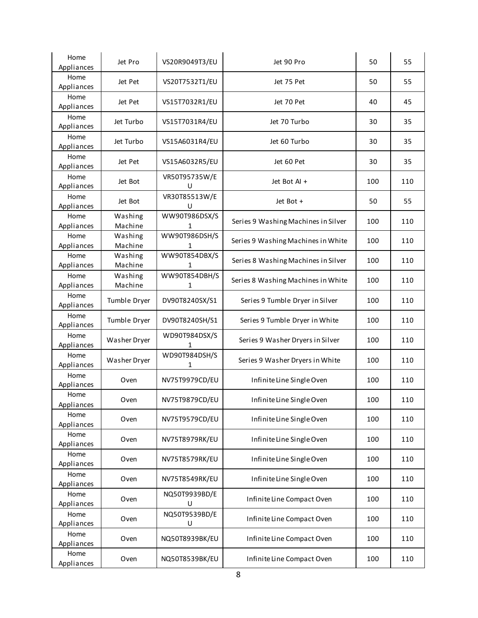| Home               | Jet Pro            | VS20R9049T3/EU     | Jet 90 Pro                          | 50  | 55  |
|--------------------|--------------------|--------------------|-------------------------------------|-----|-----|
| Appliances         |                    |                    |                                     |     |     |
| Home<br>Appliances | Jet Pet            | VS20T7532T1/EU     | Jet 75 Pet                          | 50  | 55  |
| Home<br>Appliances | Jet Pet            | VS15T7032R1/EU     | Jet 70 Pet                          | 40  | 45  |
| Home<br>Appliances | Jet Turbo          | VS15T7031R4/EU     | Jet 70 Turbo                        | 30  | 35  |
| Home<br>Appliances | Jet Turbo          | VS15A6031R4/EU     | Jet 60 Turbo                        | 30  | 35  |
| Home<br>Appliances | Jet Pet            | VS15A6032R5/EU     | Jet 60 Pet                          | 30  | 35  |
| Home<br>Appliances | Jet Bot            | VR50T95735W/E<br>U | Jet Bot Al +                        | 100 | 110 |
| Home<br>Appliances | Jet Bot            | VR30T85513W/E<br>U | Jet Bot +                           | 50  | 55  |
| Home<br>Appliances | Washing<br>Machine | WW90T986DSX/S<br>1 | Series 9 Washing Machines in Silver | 100 | 110 |
| Home<br>Appliances | Washing<br>Machine | WW90T986DSH/S<br>1 | Series 9 Washing Machines in White  | 100 | 110 |
| Home<br>Appliances | Washing<br>Machine | WW90T854DBX/S<br>1 | Series 8 Washing Machines in Silver | 100 | 110 |
| Home<br>Appliances | Washing<br>Machine | WW90T854DBH/S<br>1 | Series 8 Washing Machines in White  | 100 | 110 |
| Home<br>Appliances | Tumble Dryer       | DV90T8240SX/S1     | Series 9 Tumble Dryer in Silver     | 100 | 110 |
| Home<br>Appliances | Tumble Dryer       | DV90T8240SH/S1     | Series 9 Tumble Dryer in White      | 100 | 110 |
| Home<br>Appliances | Washer Dryer       | WD90T984DSX/S<br>1 | Series 9 Washer Dryers in Silver    | 100 | 110 |
| Home<br>Appliances | Washer Dryer       | WD90T984DSH/S<br>1 | Series 9 Washer Dryers in White     | 100 | 110 |
| Home<br>Appliances | Oven               | NV75T9979CD/EU     | Infinite Line Single Oven           | 100 | 110 |
| Home<br>Appliances | Oven               | NV75T9879CD/EU     | Infinite Line Single Oven           | 100 | 110 |
| Home<br>Appliances | Oven               | NV75T9579CD/EU     | Infinite Line Single Oven           | 100 | 110 |
| Home<br>Appliances | Oven               | NV75T8979RK/EU     | Infinite Line Single Oven           | 100 | 110 |
| Home<br>Appliances | Oven               | NV75T8579RK/EU     | Infinite Line Single Oven           | 100 | 110 |
| Home<br>Appliances | Oven               | NV75T8549RK/EU     | Infinite Line Single Oven           | 100 | 110 |
| Home<br>Appliances | Oven               | NQ50T9939BD/E<br>U | Infinite Line Compact Oven          | 100 | 110 |
| Home<br>Appliances | Oven               | NQ50T9539BD/E<br>U | Infinite Line Compact Oven          | 100 | 110 |
| Home<br>Appliances | Oven               | NQ50T8939BK/EU     | Infinite Line Compact Oven          | 100 | 110 |
| Home<br>Appliances | Oven               | NQ50T8539BK/EU     | Infinite Line Compact Oven          | 100 | 110 |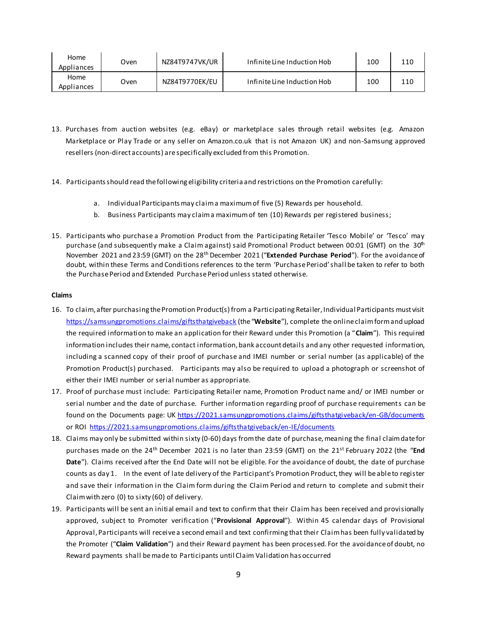| Home<br>Appliances | Oven        | NZ84T9747VK/UR | Infinite Line Induction Hob | 100 | 110 |
|--------------------|-------------|----------------|-----------------------------|-----|-----|
| Home<br>Appliances | <b>Dven</b> | NZ84T9770EK/EU | Infinite Line Induction Hob | 100 | 110 |

- 13. Purchases from auction websites (e.g. eBay) or marketplace sales through retail websites (e.g. Amazon Marketplace or Play Trade or any seller on Amazon.co.uk that is not Amazon UK) and non-Samsung approved resellers (non-direct accounts) are specifically excluded from this Promotion.
- 14. Participants should read the following eligibility criteria and restrictions on the Promotion carefully:
	- a. Individual Participants may claim a maximum of five (5) Rewards per household.
	- b. Business Participants may claim a maximum of ten (10) Rewards per registered business;
- 15. Participants who purchase a Promotion Product from the Participating Retailer 'Tesco Mobile' or 'Tesco' may purchase (and subsequently make a Claim against) said Promotional Product between 00:01 (GMT) on the 30<sup>th</sup> November 2021 and 23:59 (GMT) on the 28th December 2021 ("**Extended Purchase Period**"). For the avoidance of doubt, within these Terms and Conditions references to the term 'Purchase Period' shall be taken to refer to both the Purchase Period and Extended Purchase Period unless stated otherwise.

#### **Claims**

- 16. To claim, after purchasing the Promotion Product(s) from a Participating Retailer, Individual Participants must visit <https://samsungpromotions.claims/giftsthatgiveback> (the "**Website**"), complete the online claim form and upload the required information to make an application for their Reward under this Promotion (a "**Claim**"). This required information includes their name, contact information, bank account details and any other requested information, including a scanned copy of their proof of purchase and IMEI number or serial number (as applicable) of the Promotion Product(s) purchased. Participants may also be required to upload a photograph or screenshot of either their IMEI number or serial number as appropriate.
- 17. Proof of purchase must include: Participating Retailer name, Promotion Product name and/ or IMEI number or serial number and the date of purchase. Further information regarding proof of purchase requirements can be found on the Documents page: U[K https://2021.samsungpromotions.claims/giftsthatgiveback/en-GB/documents](https://2021.samsungpromotions.claims/giftsthatgiveback/en-GB/documents) or ROI<https://2021.samsungpromotions.claims/giftsthatgiveback/en-IE/documents>
- 18. Claims may only be submitted within sixty (0-60) days from the date of purchase, meaning the final claim date for purchases made on the 24<sup>th</sup> December 2021 is no later than 23:59 (GMT) on the 21<sup>st</sup> February 2022 (the "End **Date**"). Claims received after the End Date will not be eligible. For the avoidance of doubt, the date of purchase counts as day 1. In the event of late delivery of the Participant's Promotion Product, they will be able to register and save their information in the Claim form during the Claim Period and return to complete and submit their Claim with zero (0) to sixty (60) of delivery.
- 19. Participants will be sent an initial email and text to confirm that their Claim has been received and provisionally approved, subject to Promoter verification ("**Provisional Approval**"). Within 45 calendar days of Provisional Approval, Participants will receive a second email and text confirming that their Claim has been fully validated by the Promoter ("**Claim Validation**") and their Reward payment has been processed. For the avoidance of doubt, no Reward payments shall be made to Participants until Claim Validation has occurred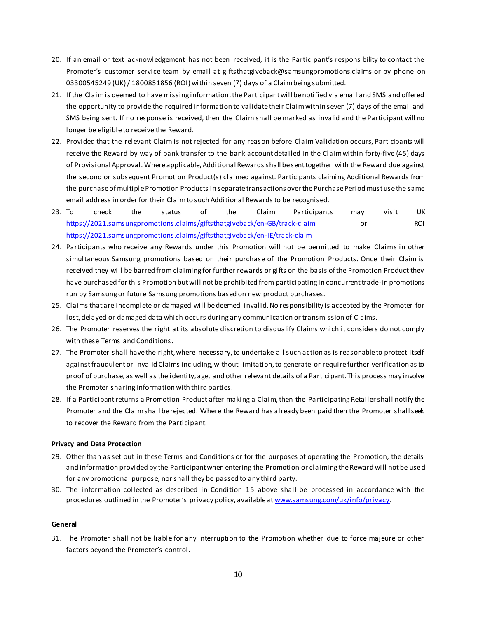- 20. If an email or text acknowledgement has not been received, it is the Participant's responsibility to contact the Promoter's customer service team by email at giftsthatgiveback@samsungpromotions.claims or by phone on 03300545249 (UK) / 1800851856 (ROI) within seven (7) days of a Claim being submitted.
- 21. If the Claim is deemed to have missing information, the Participant will be notified via email and SMS and offered the opportunity to provide the required information to validate their Claim within seven (7) days of the email and SMS being sent. If no response is received, then the Claim shall be marked as invalid and the Participant will no longer be eligible to receive the Reward.
- 22. Provided that the relevant Claim is not rejected for any reason before Claim Validation occurs, Participants will receive the Reward by way of bank transfer to the bank account detailed in the Claim within forty-five (45) days of Provisional Approval. Where applicable, Additional Rewards shall be sent together with the Reward due against the second or subsequent Promotion Product(s) claimed against. Participants claiming Additional Rewards from the purchase of multiple Promotion Products in separate transactions over the Purchase Period must use the same email address in order for their Claim to such Additional Rewards to be recognised.
- 23. To check the status of the Claim Participants may visit UK <https://2021.samsungpromotions.claims/giftsthatgiveback/en-GB/track-claim> or ROI <https://2021.samsungpromotions.claims/giftsthatgiveback/en-IE/track-claim>
- 24. Participants who receive any Rewards under this Promotion will not be permitted to make Claims in other simultaneous Samsung promotions based on their purchase of the Promotion Products. Once their Claim is received they will be barred from claiming for further rewards or gifts on the basis of the Promotion Product they have purchased for this Promotion but will not be prohibited from participating in concurrent trade-in promotions run by Samsung or future Samsung promotions based on new product purchases.
- 25. Claims that are incomplete or damaged will be deemed invalid. No responsibility is accepted by the Promoter for lost, delayed or damaged data which occurs during any communication or transmission of Claims.
- 26. The Promoter reserves the right at its absolute discretion to disqualify Claims which it considers do not comply with these Terms and Conditions.
- 27. The Promoter shall have the right, where necessary, to undertake all such action as is reasonable to protect itself against fraudulent or invalid Claims including, without limitation, to generate or require further verification as to proof of purchase, as well as the identity, age, and other relevant details of a Participant. This process may involve the Promoter sharing information with third parties.
- 28. If a Participant returns a Promotion Product after making a Claim, then the Participating Retailer shall notify the Promoter and the Claim shall be rejected. Where the Reward has already been paid then the Promoter shall seek to recover the Reward from the Participant.

# **Privacy and Data Protection**

- 29. Other than as set out in these Terms and Conditions or for the purposes of operating the Promotion, the details and information provided by the Participant when entering the Promotion or claiming the Reward will not be used for any promotional purpose, nor shall they be passed to any third party.
- 30. The information collected as described in Condition 15 above shall be processed in accordance with the procedures outlined in the Promoter's privacy policy, available at [www.samsung.com/uk/info/privacy](http://www.samsung.com/uk/info/privacy).

#### **General**

31. The Promoter shall not be liable for any interruption to the Promotion whether due to force majeure or other factors beyond the Promoter's control.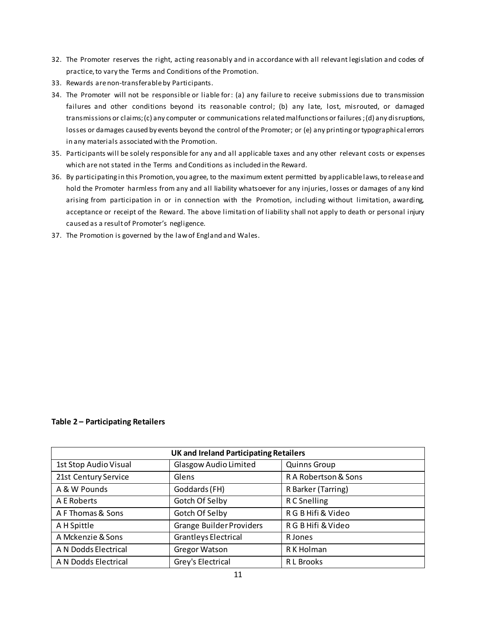- 32. The Promoter reserves the right, acting reasonably and in accordance with all relevant legislation and codes of practice, to vary the Terms and Conditions of the Promotion.
- 33. Rewards are non-transferable by Participants.
- 34. The Promoter will not be responsible or liable for: (a) any failure to receive submissions due to transmission failures and other conditions beyond its reasonable control; (b) any late, lost, misrouted, or damaged transmissions or claims; (c) any computer or communications related malfunctions or failures; (d) any disruptions, losses or damages caused by events beyond the control of the Promoter; or (e) any printing or typographical errors in any materials associated with the Promotion.
- 35. Participants will be solely responsible for any and all applicable taxes and any other relevant costs or expenses which are not stated in the Terms and Conditions as included in the Reward.
- 36. By participating in this Promotion, you agree, to the maximum extent permitted by applicable laws, to release and hold the Promoter harmless from any and all liability whatsoever for any injuries, losses or damages of any kind arising from participation in or in connection with the Promotion, including without limitation, awarding, acceptance or receipt of the Reward. The above limitation of liability shall not apply to death or personal injury caused as a result of Promoter's negligence.
- 37. The Promotion is governed by the law of England and Wales.

**Table 2 – Participating Retailers** 

| <b>UK and Ireland Participating Retailers</b> |                                 |                      |  |
|-----------------------------------------------|---------------------------------|----------------------|--|
| 1st Stop Audio Visual                         | Glasgow Audio Limited           | <b>Quinns Group</b>  |  |
| 21st Century Service                          | Glens                           | R A Robertson & Sons |  |
| A & W Pounds                                  | Goddards (FH)                   | R Barker (Tarring)   |  |
| A E Roberts                                   | Gotch Of Selby                  | R C Snelling         |  |
| A F Thomas & Sons                             | Gotch Of Selby                  | R G B Hifi & Video   |  |
| A H Spittle                                   | <b>Grange Builder Providers</b> | R G B Hifi & Video   |  |
| A Mckenzie & Sons                             | <b>Grantleys Electrical</b>     | R Jones              |  |
| A N Dodds Electrical                          | <b>Gregor Watson</b>            | R K Holman           |  |
| A N Dodds Electrical                          | Grey's Electrical               | R L Brooks           |  |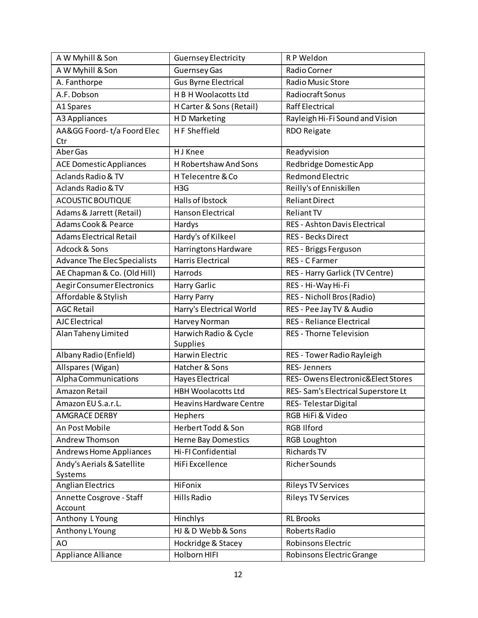| A W Myhill & Son                    | <b>Guernsey Electricity</b>    | R P Weldon                           |
|-------------------------------------|--------------------------------|--------------------------------------|
| A W Myhill & Son                    | Guernsey Gas                   | Radio Corner                         |
| A. Fanthorpe                        | <b>Gus Byrne Electrical</b>    | Radio Music Store                    |
| A.F. Dobson                         | H B H Woolacotts Ltd           | Radiocraft Sonus                     |
| A1 Spares                           | H Carter & Sons (Retail)       | <b>Raff Electrical</b>               |
| A3 Appliances                       | H D Marketing                  | Rayleigh Hi-Fi Sound and Vision      |
| AA&GG Foord-t/a Foord Elec          | <b>HF Sheffield</b>            | <b>RDO Reigate</b>                   |
| Ctr                                 |                                |                                      |
| Aber Gas                            | H J Knee                       | Readyvision                          |
| <b>ACE Domestic Appliances</b>      | H Robertshaw And Sons          | Redbridge Domestic App               |
| Aclands Radio & TV                  | H Telecentre & Co              | <b>Redmond Electric</b>              |
| <b>Aclands Radio &amp; TV</b>       | H <sub>3</sub> G               | Reilly's of Enniskillen              |
| ACOUSTIC BOUTIQUE                   | Halls of Ibstock               | <b>Reliant Direct</b>                |
| Adams & Jarrett (Retail)            | <b>Hanson Electrical</b>       | <b>Reliant TV</b>                    |
| Adams Cook & Pearce                 | Hardys                         | <b>RES - Ashton Davis Electrical</b> |
| <b>Adams Electrical Retail</b>      | Hardy's of Kilkeel             | <b>RES - Becks Direct</b>            |
| Adcock & Sons                       | Harringtons Hardware           | RES - Briggs Ferguson                |
| <b>Advance The Elec Specialists</b> | <b>Harris Electrical</b>       | RES - C Farmer                       |
| AE Chapman & Co. (Old Hill)         | Harrods                        | RES - Harry Garlick (TV Centre)      |
| Aegir Consumer Electronics          | Harry Garlic                   | RES - Hi-Way Hi-Fi                   |
| Affordable & Stylish                | Harry Parry                    | RES - Nicholl Bros (Radio)           |
| <b>AGC Retail</b>                   | Harry's Electrical World       | RES - Pee Jay TV & Audio             |
| <b>AJC</b> Electrical               | Harvey Norman                  | <b>RES - Reliance Electrical</b>     |
| Alan Taheny Limited                 | Harwich Radio & Cycle          | <b>RES - Thorne Television</b>       |
|                                     | Supplies                       |                                      |
| Albany Radio (Enfield)              | Harwin Electric                | RES - Tower Radio Rayleigh           |
| Allspares (Wigan)                   | Hatcher & Sons                 | <b>RES-Jenners</b>                   |
| Alpha Communications                | <b>Hayes Electrical</b>        | RES- Owens Electronic&Elect Stores   |
| Amazon Retail                       | <b>HBH Woolacotts Ltd</b>      | RES- Sam's Electrical Superstore Lt  |
| Amazon EU S.a.r.L.                  | <b>Heavins Hardware Centre</b> | RES-Telestar Digital                 |
| <b>AMGRACE DERBY</b>                | Hephers                        | RGB HiFi & Video                     |
| An Post Mobile                      | Herbert Todd & Son             | <b>RGB Ilford</b>                    |
| Andrew Thomson                      | <b>Herne Bay Domestics</b>     | <b>RGB Loughton</b>                  |
| Andrews Home Appliances             | Hi-FI Confidential             | Richards TV                          |
| Andy's Aerials & Satellite          | HiFi Excellence                | Richer Sounds                        |
| Systems                             |                                |                                      |
| <b>Anglian Electrics</b>            | HiFonix                        | <b>Rileys TV Services</b>            |
| Annette Cosgrove - Staff            | Hills Radio                    | <b>Rileys TV Services</b>            |
| Account<br>Anthony L Young          | Hinchlys                       | <b>RL Brooks</b>                     |
| Anthony L Young                     | HJ & D Webb & Sons             | Roberts Radio                        |
|                                     |                                | Robinsons Electric                   |
| AO                                  | Hockridge & Stacey             |                                      |
| Appliance Alliance                  | Holborn HIFI                   | Robinsons Electric Grange            |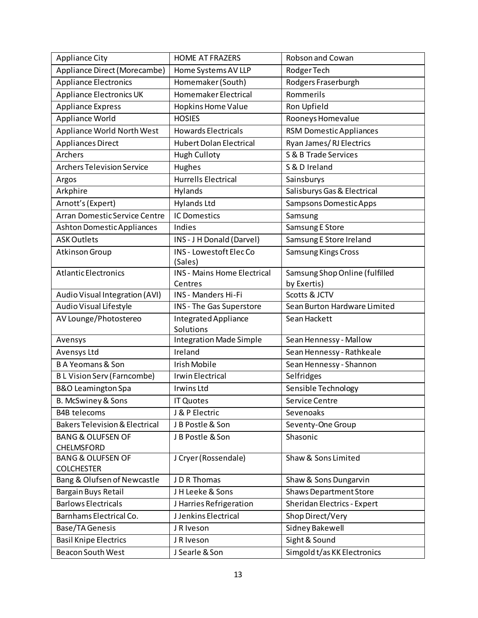| <b>Appliance City</b>                             | <b>HOME AT FRAZERS</b>             | Robson and Cowan               |
|---------------------------------------------------|------------------------------------|--------------------------------|
| Appliance Direct (Morecambe)                      | Home Systems AV LLP                | Rodger Tech                    |
| <b>Appliance Electronics</b>                      | Homemaker (South)                  | Rodgers Fraserburgh            |
| <b>Appliance Electronics UK</b>                   | Homemaker Electrical               | Rommerils                      |
| <b>Appliance Express</b>                          | Hopkins Home Value                 | Ron Upfield                    |
| Appliance World                                   | <b>HOSIES</b>                      | Rooneys Homevalue              |
| <b>Appliance World North West</b>                 | <b>Howards Electricals</b>         | <b>RSM Domestic Appliances</b> |
| <b>Appliances Direct</b>                          | <b>Hubert Dolan Electrical</b>     | Ryan James/RJ Electrics        |
| Archers                                           | <b>Hugh Culloty</b>                | S & B Trade Services           |
| <b>Archers Television Service</b>                 | Hughes                             | S & D Ireland                  |
| Argos                                             | <b>Hurrells Electrical</b>         | Sainsburys                     |
| Arkphire                                          | Hylands                            | Salisburys Gas & Electrical    |
| Arnott's (Expert)                                 | <b>Hylands Ltd</b>                 | Sampsons Domestic Apps         |
| Arran Domestic Service Centre                     | <b>IC Domestics</b>                | Samsung                        |
| <b>Ashton Domestic Appliances</b>                 | Indies                             | Samsung E Store                |
| <b>ASK Outlets</b>                                | INS - J H Donald (Darvel)          | Samsung E Store Ireland        |
| Atkinson Group                                    | INS - Lowestoft Elec Co<br>(Sales) | <b>Samsung Kings Cross</b>     |
| <b>Atlantic Electronics</b>                       | <b>INS - Mains Home Electrical</b> | Samsung Shop Online (fulfilled |
|                                                   | Centres                            | by Exertis)                    |
| Audio Visual Integration (AVI)                    | INS - Manders Hi-Fi                | Scotts & JCTV                  |
| Audio Visual Lifestyle                            | INS - The Gas Superstore           | Sean Burton Hardware Limited   |
| AV Lounge/Photostereo                             | Integrated Appliance<br>Solutions  | Sean Hackett                   |
| Avensys                                           | <b>Integration Made Simple</b>     | Sean Hennessy - Mallow         |
| Avensys Ltd                                       | Ireland                            | Sean Hennessy - Rathkeale      |
| <b>BA Yeomans &amp; Son</b>                       | Irish Mobile                       | Sean Hennessy - Shannon        |
| <b>BL Vision Serv (Farncombe)</b>                 | <b>Irwin Electrical</b>            | Selfridges                     |
| <b>B&amp;O Leamington Spa</b>                     | Irwins Ltd                         | Sensible Technology            |
| B. McSwiney & Sons                                | <b>IT Quotes</b>                   | Service Centre                 |
| <b>B4B</b> telecoms                               | J & P Electric                     | Sevenoaks                      |
| <b>Bakers Television &amp; Electrical</b>         | J B Postle & Son                   | Seventy-One Group              |
| <b>BANG &amp; OLUFSEN OF</b><br>CHELMSFORD        | J B Postle & Son                   | Shasonic                       |
| <b>BANG &amp; OLUFSEN OF</b><br><b>COLCHESTER</b> | J Cryer (Rossendale)               | Shaw & Sons Limited            |
| Bang & Olufsen of Newcastle                       | J D R Thomas                       | Shaw & Sons Dungarvin          |
| Bargain Buys Retail                               | JH Leeke & Sons                    | <b>Shaws Department Store</b>  |
| <b>Barlows Electricals</b>                        | J Harries Refrigeration            | Sheridan Electrics - Expert    |
| Barnhams Electrical Co.                           | J Jenkins Electrical               | Shop Direct/Very               |
| <b>Base/TA Genesis</b>                            | J R Iveson                         | Sidney Bakewell                |
| <b>Basil Knipe Electrics</b>                      | J R Iveson                         | Sight & Sound                  |
| <b>Beacon South West</b>                          | J Searle & Son                     | Simgold t/as KK Electronics    |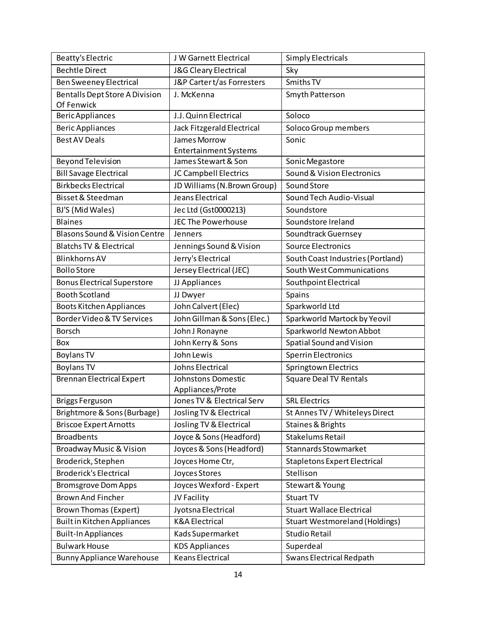| Beatty's Electric                                   | J W Garnett Electrical                 | <b>Simply Electricals</b>             |
|-----------------------------------------------------|----------------------------------------|---------------------------------------|
| <b>Bechtle Direct</b>                               | J&G Cleary Electrical                  | Sky                                   |
| <b>Ben Sweeney Electrical</b>                       | J&P Cartert/as Forresters              | Smiths TV                             |
| <b>Bentalls Dept Store A Division</b><br>Of Fenwick | J. McKenna                             | Smyth Patterson                       |
| <b>Beric Appliances</b>                             | J.J. Quinn Electrical                  | Soloco                                |
| <b>Beric Appliances</b>                             | Jack Fitzgerald Electrical             | Soloco Group members                  |
| <b>Best AV Deals</b>                                | James Morrow                           | Sonic                                 |
|                                                     | <b>Entertainment Systems</b>           |                                       |
| <b>Beyond Television</b>                            | James Stewart & Son                    | Sonic Megastore                       |
| <b>Bill Savage Electrical</b>                       | JC Campbell Electrics                  | <b>Sound &amp; Vision Electronics</b> |
| <b>Birkbecks Electrical</b>                         | JD Williams (N.Brown Group)            | Sound Store                           |
| Bisset & Steedman                                   | Jeans Electrical                       | Sound Tech Audio-Visual               |
| BJ'S (Mid Wales)                                    | Jec Ltd (Gst0000213)                   | Soundstore                            |
| <b>Blaines</b>                                      | <b>JEC The Powerhouse</b>              | Soundstore Ireland                    |
| Blasons Sound & Vision Centre                       | Jenners                                | Soundtrack Guernsey                   |
| <b>Blatchs TV &amp; Electrical</b>                  | Jennings Sound & Vision                | <b>Source Electronics</b>             |
| <b>Blinkhorns AV</b>                                | Jerry's Electrical                     | South Coast Industries (Portland)     |
| <b>Bollo Store</b>                                  | Jersey Electrical (JEC)                | South West Communications             |
| <b>Bonus Electrical Superstore</b>                  | JJ Appliances                          | Southpoint Electrical                 |
| <b>Booth Scotland</b>                               | JJ Dwyer                               | Spains                                |
| Boots Kitchen Appliances                            | John Calvert (Elec)                    | Sparkworld Ltd                        |
| Border Video & TV Services                          | John Gillman & Sons (Elec.)            | Sparkworld Martock by Yeovil          |
| <b>Borsch</b>                                       | John J Ronayne                         | Sparkworld Newton Abbot               |
| Box                                                 | John Kerry & Sons                      | Spatial Sound and Vision              |
| <b>Boylans TV</b>                                   | John Lewis                             | <b>Sperrin Electronics</b>            |
| <b>Boylans TV</b>                                   | Johns Electrical                       | Springtown Electrics                  |
| <b>Brennan Electrical Expert</b>                    | Johnstons Domestic<br>Appliances/Prote | <b>Square Deal TV Rentals</b>         |
| <b>Briggs Ferguson</b>                              | Jones TV & Electrical Serv             | <b>SRL Electrics</b>                  |
| Brightmore & Sons (Burbage)                         | Josling TV & Electrical                | St Annes TV / Whiteleys Direct        |
| <b>Briscoe Expert Arnotts</b>                       | Josling TV & Electrical                | Staines & Brights                     |
| <b>Broadbents</b>                                   | Joyce & Sons (Headford)                | Stakelums Retail                      |
| Broadway Music & Vision                             | Joyces & Sons (Headford)               | <b>Stannards Stowmarket</b>           |
| Broderick, Stephen                                  | Joyces Home Ctr,                       | <b>Stapletons Expert Electrical</b>   |
| <b>Broderick's Electrical</b>                       | Joyces Stores                          | Stellison                             |
| <b>Bromsgrove Dom Apps</b>                          | Joyces Wexford - Expert                | Stewart & Young                       |
| <b>Brown And Fincher</b>                            | JV Facility                            | Stuart TV                             |
| <b>Brown Thomas (Expert)</b>                        | Jyotsna Electrical                     | <b>Stuart Wallace Electrical</b>      |
| <b>Built in Kitchen Appliances</b>                  | <b>K&amp;A Electrical</b>              | <b>Stuart Westmoreland (Holdings)</b> |
| <b>Built-In Appliances</b>                          | Kads Supermarket                       | <b>Studio Retail</b>                  |
| <b>Bulwark House</b>                                | <b>KDS Appliances</b>                  | Superdeal                             |
| <b>Bunny Appliance Warehouse</b>                    | Keans Electrical                       | <b>Swans Electrical Redpath</b>       |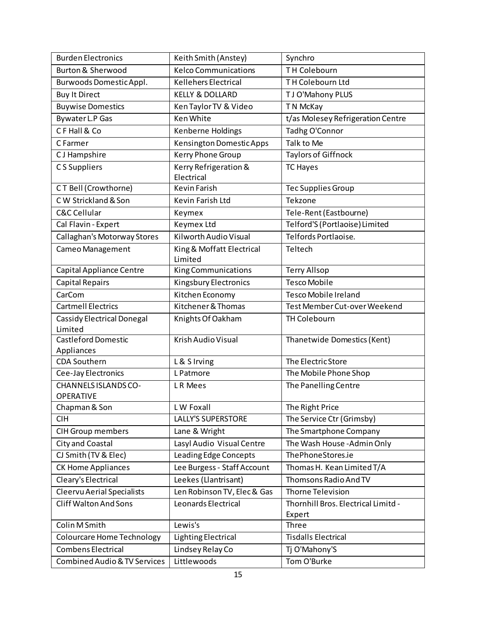| <b>Burden Electronics</b>                       | Keith Smith (Anstey)                 | Synchro                                       |
|-------------------------------------------------|--------------------------------------|-----------------------------------------------|
| <b>Burton &amp; Sherwood</b>                    | <b>Kelco Communications</b>          | TH Colebourn                                  |
| Burwoods Domestic Appl.                         | <b>Kellehers Electrical</b>          | TH Colebourn Ltd                              |
| <b>Buy It Direct</b>                            | <b>KELLY &amp; DOLLARD</b>           | TJ O'Mahony PLUS                              |
| <b>Buywise Domestics</b>                        | Ken Taylor TV & Video                | T N McKay                                     |
| Bywater L.P Gas                                 | <b>Ken White</b>                     | t/as Molesey Refrigeration Centre             |
| CF Hall & Co                                    | Kenberne Holdings                    | Tadhg O'Connor                                |
| C Farmer                                        | <b>Kensington Domestic Apps</b>      | Talk to Me                                    |
| C J Hampshire                                   | Kerry Phone Group                    | <b>Taylors of Giffnock</b>                    |
| CS Suppliers                                    | Kerry Refrigeration &<br>Electrical  | <b>TC Hayes</b>                               |
| CT Bell (Crowthorne)                            | Kevin Farish                         | <b>Tec Supplies Group</b>                     |
| C W Strickland & Son                            | Kevin Farish Ltd                     | Tekzone                                       |
| <b>C&amp;C Cellular</b>                         | Keymex                               | Tele-Rent (Eastbourne)                        |
| Cal Flavin - Expert                             | Keymex Ltd                           | Telford'S (Portlaoise) Limited                |
| Callaghan's Motorway Stores                     | Kilworth Audio Visual                | Telfords Portlaoise.                          |
| Cameo Management                                | King & Moffatt Electrical<br>Limited | Teltech                                       |
| <b>Capital Appliance Centre</b>                 | <b>King Communications</b>           | <b>Terry Allsop</b>                           |
| <b>Capital Repairs</b>                          | <b>Kingsbury Electronics</b>         | <b>Tesco Mobile</b>                           |
| CarCom                                          | Kitchen Economy                      | <b>Tesco Mobile Ireland</b>                   |
| <b>Cartmell Electrics</b>                       | Kitchener & Thomas                   | Test Member Cut-over Weekend                  |
| <b>Cassidy Electrical Donegal</b><br>Limited    | Knights Of Oakham                    | <b>TH Colebourn</b>                           |
| <b>Castleford Domestic</b><br>Appliances        | Krish Audio Visual                   | Thanetwide Domestics (Kent)                   |
| <b>CDA Southern</b>                             | L & S Irving                         | The Electric Store                            |
| Cee-Jay Electronics                             | L Patmore                            | The Mobile Phone Shop                         |
| <b>CHANNELS ISLANDS CO-</b><br><b>OPERATIVE</b> | LR Mees                              | The Panelling Centre                          |
| Chapman & Son                                   | LW Foxall                            | The Right Price                               |
| <b>CIH</b>                                      | <b>LALLY'S SUPERSTORE</b>            | The Service Ctr (Grimsby)                     |
| <b>CIH Group members</b>                        | Lane & Wright                        | The Smartphone Company                        |
| City and Coastal                                | Lasyl Audio Visual Centre            | The Wash House - Admin Only                   |
| CJ Smith (TV & Elec)                            | Leading Edge Concepts                | ThePhoneStores.ie                             |
| CK Home Appliances                              | Lee Burgess - Staff Account          | Thomas H. Kean Limited T/A                    |
| Cleary's Electrical                             | Leekes (Llantrisant)                 | Thomsons Radio And TV                         |
| <b>Cleervu Aerial Specialists</b>               | Len Robinson TV, Elec & Gas          | <b>Thorne Television</b>                      |
| <b>Cliff Walton And Sons</b>                    | Leonards Electrical                  | Thornhill Bros. Electrical Limitd -<br>Expert |
| Colin M Smith                                   | Lewis's                              | Three                                         |
| <b>Colourcare Home Technology</b>               | <b>Lighting Electrical</b>           | <b>Tisdalls Electrical</b>                    |
| <b>Combens Electrical</b>                       | Lindsey Relay Co                     | Tj O'Mahony'S                                 |
| Combined Audio & TV Services                    | Littlewoods                          | Tom O'Burke                                   |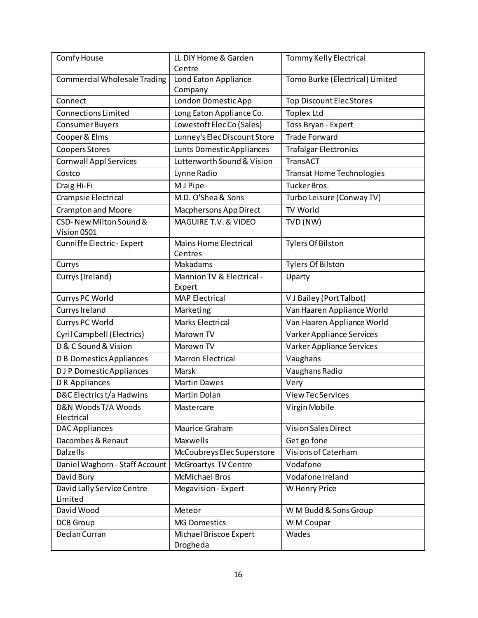| Comfy House                           | LL DIY Home & Garden<br>Centre          | Tommy Kelly Electrical           |
|---------------------------------------|-----------------------------------------|----------------------------------|
| <b>Commercial Wholesale Trading</b>   | Lond Eaton Appliance<br>Company         | Tomo Burke (Electrical) Limited  |
| Connect                               | London Domestic App                     | <b>Top Discount Elec Stores</b>  |
| <b>Connections Limited</b>            | Long Eaton Appliance Co.                | <b>Toplex Ltd</b>                |
| <b>Consumer Buyers</b>                | Lowestoft ElecCo (Sales)                | Toss Bryan - Expert              |
| Cooper & Elms                         | Lunney's Elec Discount Store            | <b>Trade Forward</b>             |
| <b>Coopers Stores</b>                 | Lunts Domestic Appliances               | <b>Trafalgar Electronics</b>     |
| <b>Cornwall Appl Services</b>         | Lutterworth Sound & Vision              | TransACT                         |
| Costco                                | Lynne Radio                             | <b>Transat Home Technologies</b> |
| Craig Hi-Fi                           | M J Pipe                                | Tucker Bros.                     |
| Crampsie Electrical                   | M.D. O'Shea & Sons                      | Turbo Leisure (Conway TV)        |
| <b>Crampton and Moore</b>             | Macphersons App Direct                  | TV World                         |
| CSD-New Milton Sound &<br>Vision 0501 | MAGUIRE T.V. & VIDEO                    | TVD (NW)                         |
| Cunniffe Electric - Expert            | <b>Mains Home Electrical</b><br>Centres | <b>Tylers Of Bilston</b>         |
| Currys                                | Makadams                                | <b>Tylers Of Bilston</b>         |
| Currys (Ireland)                      | Mannion TV & Electrical -<br>Expert     | Uparty                           |
| Currys PC World                       | <b>MAP Electrical</b>                   | V J Bailey (Port Talbot)         |
| Currys Ireland                        | Marketing                               | Van Haaren Appliance World       |
| Currys PC World                       | <b>Marks Electrical</b>                 | Van Haaren Appliance World       |
| <b>Cyril Campbell (Electrics)</b>     | Marown TV                               | Varker Appliance Services        |
| D & C Sound & Vision                  | Marown TV                               | Varker Appliance Services        |
| <b>D B Domestics Appliances</b>       | Marron Electrical                       | Vaughans                         |
| <b>DJP</b> Domestic Appliances        | Marsk                                   | Vaughans Radio                   |
| DR Appliances                         | <b>Martin Dawes</b>                     | Very                             |
| D&C Electrics t/a Hadwins             | Martin Dolan                            | <b>View Tec Services</b>         |
| D&N Woods T/A Woods<br>Electrical     | Mastercare                              | Virgin Mobile                    |
| <b>DAC Appliances</b>                 | Maurice Graham                          | <b>Vision Sales Direct</b>       |
| Dacombes & Renaut                     | <b>Maxwells</b>                         | Get go fone                      |
| Dalzells                              | McCoubreys Elec Superstore              | Visions of Caterham              |
| Daniel Waghorn - Staff Account        | <b>McGroartys TV Centre</b>             | Vodafone                         |
| David Bury                            | <b>McMichael Bros</b>                   | Vodafone Ireland                 |
| David Lally Service Centre            | <b>Megavision - Expert</b>              | W Henry Price                    |
| Limited                               |                                         |                                  |
| David Wood                            | Meteor                                  | W M Budd & Sons Group            |
| <b>DCB</b> Group                      | <b>MG Domestics</b>                     | W M Coupar                       |
| Declan Curran                         | Michael Briscoe Expert<br>Drogheda      | Wades                            |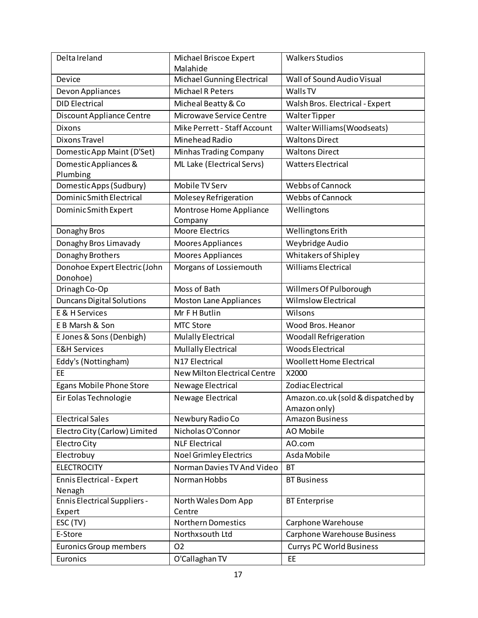| Delta Ireland                       | Michael Briscoe Expert<br>Malahide  | <b>Walkers Studios</b>                             |
|-------------------------------------|-------------------------------------|----------------------------------------------------|
| Device                              | Michael Gunning Electrical          | Wall of Sound Audio Visual                         |
| Devon Appliances                    | <b>Michael R Peters</b>             | Walls TV                                           |
| <b>DID Electrical</b>               | Micheal Beatty & Co                 | Walsh Bros. Electrical - Expert                    |
| Discount Appliance Centre           | Microwave Service Centre            | Walter Tipper                                      |
| <b>Dixons</b>                       | Mike Perrett - Staff Account        | Walter Williams (Woodseats)                        |
| <b>Dixons Travel</b>                | Minehead Radio                      | <b>Waltons Direct</b>                              |
| Domestic App Maint (D'Set)          | Minhas Trading Company              | <b>Waltons Direct</b>                              |
| Domestic Appliances &               | ML Lake (Electrical Servs)          | <b>Watters Electrical</b>                          |
| Plumbing                            |                                     |                                                    |
| Domestic Apps (Sudbury)             | Mobile TV Serv                      | Webbs of Cannock                                   |
| Dominic Smith Electrical            | Molesey Refrigeration               | <b>Webbs of Cannock</b>                            |
| Dominic Smith Expert                | Montrose Home Appliance<br>Company  | Wellingtons                                        |
| Donaghy Bros                        | <b>Moore Electrics</b>              | Wellingtons Erith                                  |
| Donaghy Bros Limavady               | Moores Appliances                   | Weybridge Audio                                    |
| Donaghy Brothers                    | <b>Moores Appliances</b>            | Whitakers of Shipley                               |
| Donohoe Expert Electric (John       | Morgans of Lossiemouth              | <b>Williams Electrical</b>                         |
| Donohoe)                            |                                     |                                                    |
| Drinagh Co-Op                       | Moss of Bath                        | Willmers Of Pulborough                             |
| <b>Duncans Digital Solutions</b>    | <b>Moston Lane Appliances</b>       | <b>Wilmslow Electrical</b>                         |
| <b>E &amp; H Services</b>           | Mr F H Butlin                       | Wilsons                                            |
| E B Marsh & Son                     | MTC Store                           | Wood Bros. Heanor                                  |
| E Jones & Sons (Denbigh)            | Mulally Electrical                  | <b>Woodall Refrigeration</b>                       |
| <b>E&amp;H Services</b>             | <b>Mullally Electrical</b>          | <b>Woods Electrical</b>                            |
| Eddy's (Nottingham)                 | N17 Electrical                      | <b>Woollett Home Electrical</b>                    |
| EE                                  | <b>New Milton Electrical Centre</b> | X2000                                              |
| Egans Mobile Phone Store            | Newage Electrical                   | Zodiac Electrical                                  |
| Eir Eolas Technologie               | Newage Electrical                   | Amazon.co.uk (sold & dispatched by<br>Amazon only) |
| <b>Electrical Sales</b>             | Newbury Radio Co                    | <b>Amazon Business</b>                             |
| Electro City (Carlow) Limited       | Nicholas O'Connor                   | AO Mobile                                          |
| Electro City                        | <b>NLF Electrical</b>               | AO.com                                             |
| Electrobuy                          | <b>Noel Grimley Electrics</b>       | Asda Mobile                                        |
| <b>ELECTROCITY</b>                  | Norman Davies TV And Video          | <b>BT</b>                                          |
| <b>Ennis Electrical - Expert</b>    | Norman Hobbs                        | <b>BT Business</b>                                 |
| Nenagh                              |                                     |                                                    |
| <b>Ennis Electrical Suppliers -</b> | North Wales Dom App                 | <b>BT</b> Enterprise                               |
| Expert                              | Centre                              |                                                    |
| ESC (TV)                            | <b>Northern Domestics</b>           | Carphone Warehouse                                 |
| E-Store                             | Northxsouth Ltd                     | Carphone Warehouse Business                        |
| <b>Euronics Group members</b>       | 02                                  | <b>Currys PC World Business</b>                    |
| Euronics                            | O'Callaghan TV                      | EE                                                 |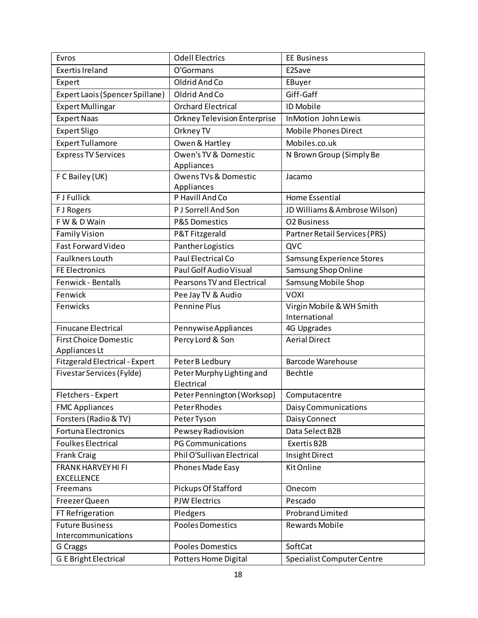| Evros                           | <b>Odell Electrics</b>                       | <b>EE Business</b>            |
|---------------------------------|----------------------------------------------|-------------------------------|
| <b>Exertis Ireland</b>          | O'Gormans                                    | E2Save                        |
| Expert                          | Oldrid And Co                                | EBuyer                        |
| Expert Laois (Spencer Spillane) | Oldrid And Co                                | Giff-Gaff                     |
| <b>Expert Mullingar</b>         | <b>Orchard Electrical</b>                    | <b>ID Mobile</b>              |
| <b>Expert Naas</b>              | Orkney Television Enterprise                 | InMotion John Lewis           |
| <b>Expert Sligo</b>             | Orkney TV                                    | <b>Mobile Phones Direct</b>   |
| <b>Expert Tullamore</b>         | Owen & Hartley                               | Mobiles.co.uk                 |
| <b>Express TV Services</b>      | Owen's TV & Domestic                         | N Brown Group (Simply Be      |
|                                 | Appliances                                   |                               |
| F C Bailey (UK)                 | <b>Owens TVs &amp; Domestic</b>              | Jacamo                        |
|                                 | Appliances                                   |                               |
| <b>FJ Fullick</b>               | P Havill And Co                              | <b>Home Essential</b>         |
| F J Rogers                      | P J Sorrell And Son                          | JD Williams & Ambrose Wilson) |
| FW & D Wain                     | <b>P&amp;S Domestics</b>                     | O2 Business                   |
| <b>Family Vision</b>            | P&T Fitzgerald                               | Partner Retail Services (PRS) |
| <b>Fast Forward Video</b>       | Panther Logistics                            | QVC                           |
| <b>Faulkners Louth</b>          | Paul Electrical Co                           | Samsung Experience Stores     |
| <b>FE Electronics</b>           | Paul Golf Audio Visual                       | Samsung Shop Online           |
| Fenwick - Bentalls              | <b>Pearsons TV and Electrical</b>            | Samsung Mobile Shop           |
| Fenwick                         | Pee Jay TV & Audio                           | <b>VOXI</b>                   |
| Fenwicks                        | <b>Pennine Plus</b>                          | Virgin Mobile & WH Smith      |
|                                 |                                              | International                 |
| <b>Finucane Electrical</b>      | Pennywise Appliances                         | 4G Upgrades                   |
| <b>First Choice Domestic</b>    | Percy Lord & Son                             | <b>Aerial Direct</b>          |
| Appliances Lt                   |                                              | <b>Barcode Warehouse</b>      |
| Fitzgerald Electrical - Expert  | Peter B Ledbury<br>Peter Murphy Lighting and | <b>Bechtle</b>                |
| Fivestar Services (Fylde)       | Electrical                                   |                               |
| Fletchers - Expert              | Peter Pennington (Worksop)                   | Computacentre                 |
| <b>FMC Appliances</b>           | Peter Rhodes                                 | <b>Daisy Communications</b>   |
| Forsters (Radio & TV)           | Peter Tyson                                  | Daisy Connect                 |
| <b>Fortuna Electronics</b>      | Pewsey Radiovision                           | Data Select B2B               |
| <b>Foulkes Electrical</b>       | <b>PG Communications</b>                     | Exertis B2B                   |
| <b>Frank Craig</b>              | Phil O'Sullivan Electrical                   | Insight Direct                |
| <b>FRANK HARVEY HI FI</b>       | Phones Made Easy                             | Kit Online                    |
| <b>EXCELLENCE</b>               |                                              |                               |
| Freemans                        | Pickups Of Stafford                          | Onecom                        |
| Freezer Queen                   | <b>PJW Electrics</b>                         | Pescado                       |
| FT Refrigeration                | Pledgers                                     | <b>Probrand Limited</b>       |
| <b>Future Business</b>          | <b>Pooles Domestics</b>                      | <b>Rewards Mobile</b>         |
| Intercommunications             |                                              |                               |
| G Craggs                        | <b>Pooles Domestics</b>                      | SoftCat                       |
| <b>G E Bright Electrical</b>    | Potters Home Digital                         | Specialist Computer Centre    |